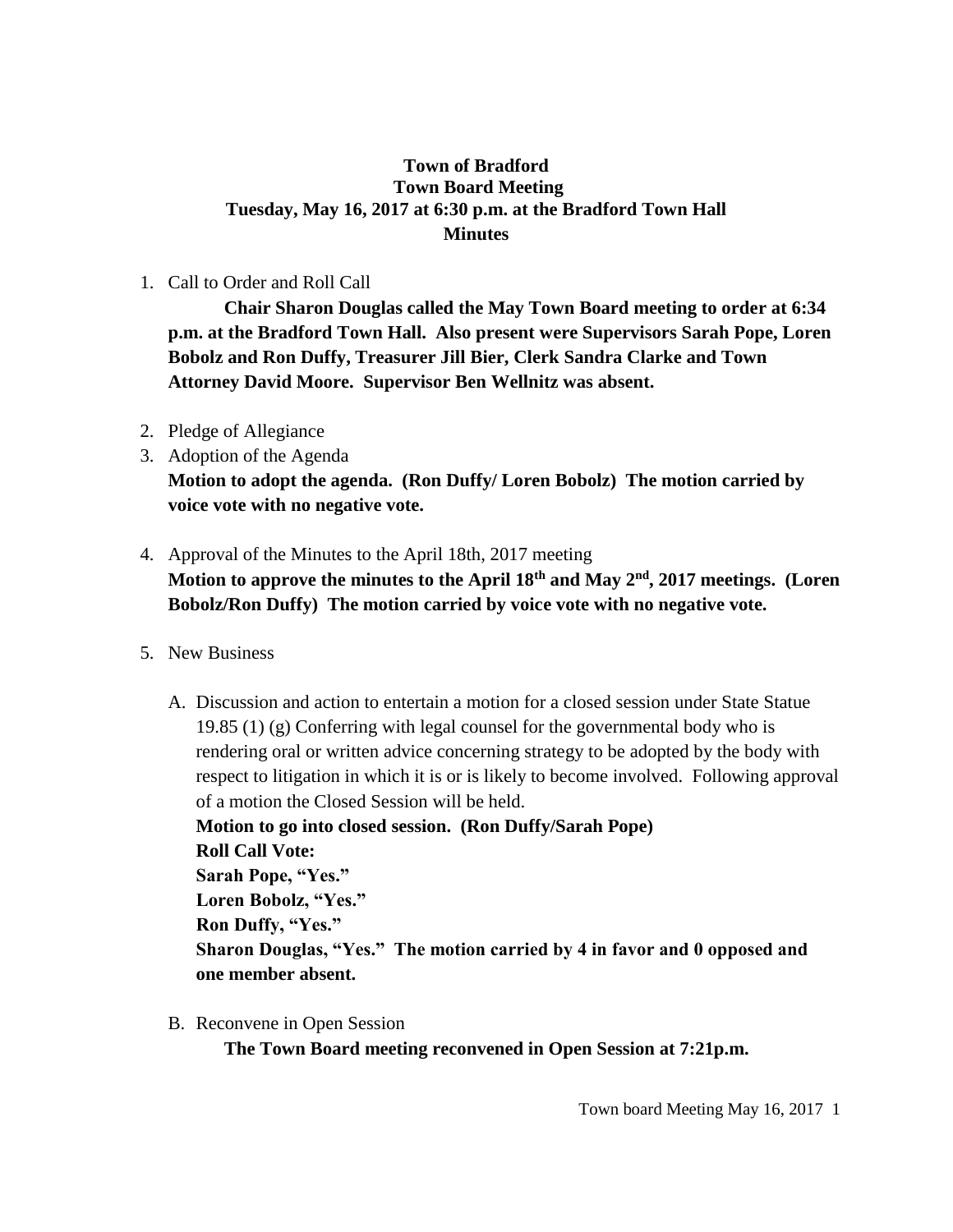## **Town of Bradford Town Board Meeting Tuesday, May 16, 2017 at 6:30 p.m. at the Bradford Town Hall Minutes**

## 1. Call to Order and Roll Call

**Chair Sharon Douglas called the May Town Board meeting to order at 6:34 p.m. at the Bradford Town Hall. Also present were Supervisors Sarah Pope, Loren Bobolz and Ron Duffy, Treasurer Jill Bier, Clerk Sandra Clarke and Town Attorney David Moore. Supervisor Ben Wellnitz was absent.**

- 2. Pledge of Allegiance
- 3. Adoption of the Agenda **Motion to adopt the agenda. (Ron Duffy/ Loren Bobolz) The motion carried by voice vote with no negative vote.**
- 4. Approval of the Minutes to the April 18th, 2017 meeting **Motion to approve the minutes to the April 18th and May 2nd, 2017 meetings. (Loren Bobolz/Ron Duffy) The motion carried by voice vote with no negative vote.**
- 5. New Business
	- A. Discussion and action to entertain a motion for a closed session under State Statue 19.85 (1) (g) Conferring with legal counsel for the governmental body who is rendering oral or written advice concerning strategy to be adopted by the body with respect to litigation in which it is or is likely to become involved. Following approval of a motion the Closed Session will be held.

**Motion to go into closed session. (Ron Duffy/Sarah Pope) Roll Call Vote: Sarah Pope, "Yes." Loren Bobolz, "Yes." Ron Duffy, "Yes." Sharon Douglas, "Yes." The motion carried by 4 in favor and 0 opposed and one member absent.**

B. Reconvene in Open Session

**The Town Board meeting reconvened in Open Session at 7:21p.m.**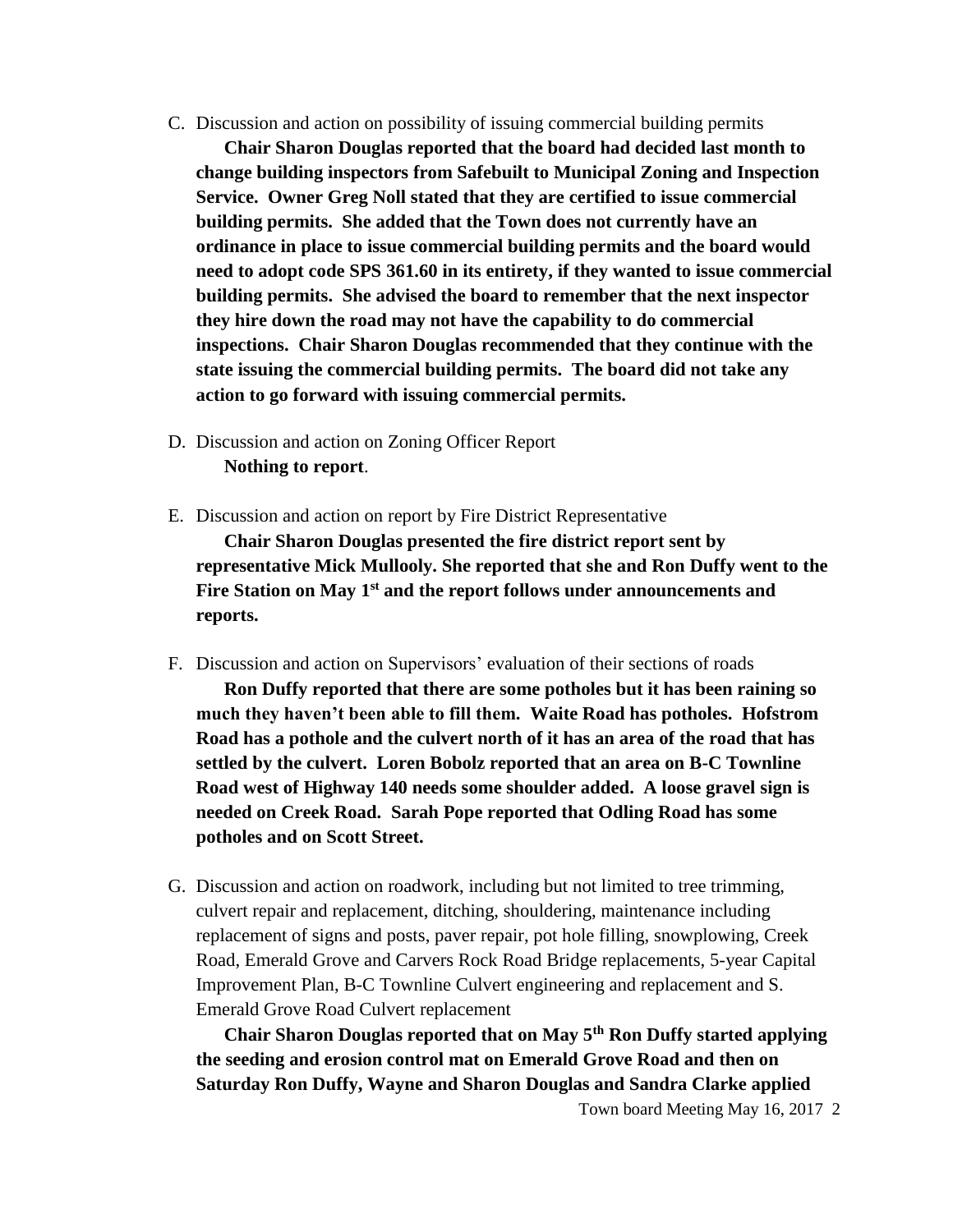C. Discussion and action on possibility of issuing commercial building permits

**Chair Sharon Douglas reported that the board had decided last month to change building inspectors from Safebuilt to Municipal Zoning and Inspection Service. Owner Greg Noll stated that they are certified to issue commercial building permits. She added that the Town does not currently have an ordinance in place to issue commercial building permits and the board would need to adopt code SPS 361.60 in its entirety, if they wanted to issue commercial building permits. She advised the board to remember that the next inspector they hire down the road may not have the capability to do commercial inspections. Chair Sharon Douglas recommended that they continue with the state issuing the commercial building permits. The board did not take any action to go forward with issuing commercial permits.**

- D. Discussion and action on Zoning Officer Report **Nothing to report**.
- E. Discussion and action on report by Fire District Representative

**Chair Sharon Douglas presented the fire district report sent by representative Mick Mullooly. She reported that she and Ron Duffy went to the Fire Station on May 1st and the report follows under announcements and reports.**

F. Discussion and action on Supervisors' evaluation of their sections of roads

**Ron Duffy reported that there are some potholes but it has been raining so much they haven't been able to fill them. Waite Road has potholes. Hofstrom Road has a pothole and the culvert north of it has an area of the road that has settled by the culvert. Loren Bobolz reported that an area on B-C Townline Road west of Highway 140 needs some shoulder added. A loose gravel sign is needed on Creek Road. Sarah Pope reported that Odling Road has some potholes and on Scott Street.** 

G. Discussion and action on roadwork, including but not limited to tree trimming, culvert repair and replacement, ditching, shouldering, maintenance including replacement of signs and posts, paver repair, pot hole filling, snowplowing, Creek Road, Emerald Grove and Carvers Rock Road Bridge replacements, 5-year Capital Improvement Plan, B-C Townline Culvert engineering and replacement and S. Emerald Grove Road Culvert replacement

**Chair Sharon Douglas reported that on May 5th Ron Duffy started applying the seeding and erosion control mat on Emerald Grove Road and then on Saturday Ron Duffy, Wayne and Sharon Douglas and Sandra Clarke applied** 

Town board Meeting May 16, 2017 2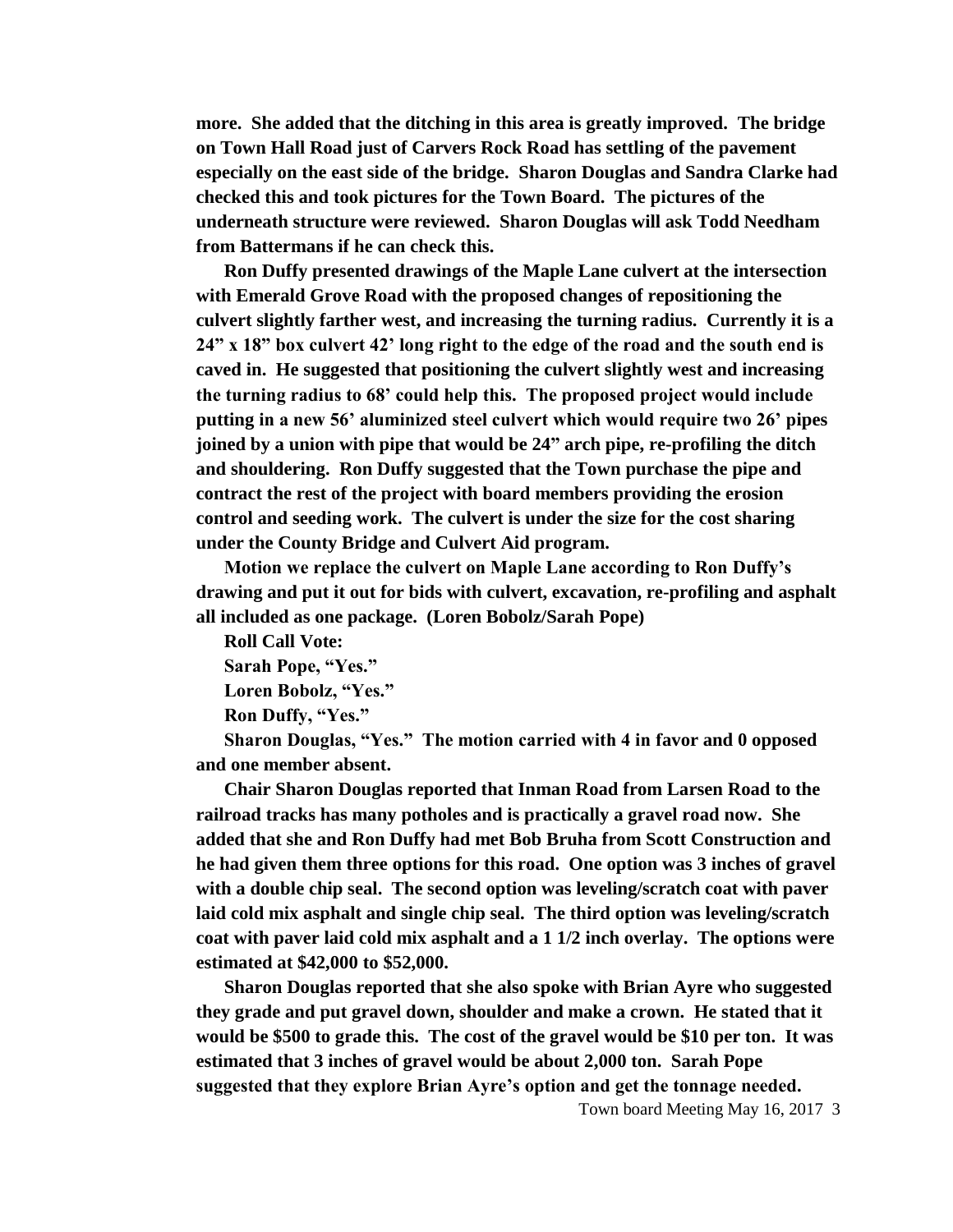**more. She added that the ditching in this area is greatly improved. The bridge on Town Hall Road just of Carvers Rock Road has settling of the pavement especially on the east side of the bridge. Sharon Douglas and Sandra Clarke had checked this and took pictures for the Town Board. The pictures of the underneath structure were reviewed. Sharon Douglas will ask Todd Needham from Battermans if he can check this.** 

**Ron Duffy presented drawings of the Maple Lane culvert at the intersection with Emerald Grove Road with the proposed changes of repositioning the culvert slightly farther west, and increasing the turning radius. Currently it is a 24" x 18" box culvert 42' long right to the edge of the road and the south end is caved in. He suggested that positioning the culvert slightly west and increasing the turning radius to 68' could help this. The proposed project would include putting in a new 56' aluminized steel culvert which would require two 26' pipes joined by a union with pipe that would be 24" arch pipe, re-profiling the ditch and shouldering. Ron Duffy suggested that the Town purchase the pipe and contract the rest of the project with board members providing the erosion control and seeding work. The culvert is under the size for the cost sharing under the County Bridge and Culvert Aid program.**

**Motion we replace the culvert on Maple Lane according to Ron Duffy's drawing and put it out for bids with culvert, excavation, re-profiling and asphalt all included as one package. (Loren Bobolz/Sarah Pope)**

**Roll Call Vote: Sarah Pope, "Yes."**

**Loren Bobolz, "Yes."**

**Ron Duffy, "Yes."**

**Sharon Douglas, "Yes." The motion carried with 4 in favor and 0 opposed and one member absent.**

**Chair Sharon Douglas reported that Inman Road from Larsen Road to the railroad tracks has many potholes and is practically a gravel road now. She added that she and Ron Duffy had met Bob Bruha from Scott Construction and he had given them three options for this road. One option was 3 inches of gravel with a double chip seal. The second option was leveling/scratch coat with paver laid cold mix asphalt and single chip seal. The third option was leveling/scratch coat with paver laid cold mix asphalt and a 1 1/2 inch overlay. The options were estimated at \$42,000 to \$52,000.**

**Sharon Douglas reported that she also spoke with Brian Ayre who suggested they grade and put gravel down, shoulder and make a crown. He stated that it would be \$500 to grade this. The cost of the gravel would be \$10 per ton. It was estimated that 3 inches of gravel would be about 2,000 ton. Sarah Pope suggested that they explore Brian Ayre's option and get the tonnage needed.** 

Town board Meeting May 16, 2017 3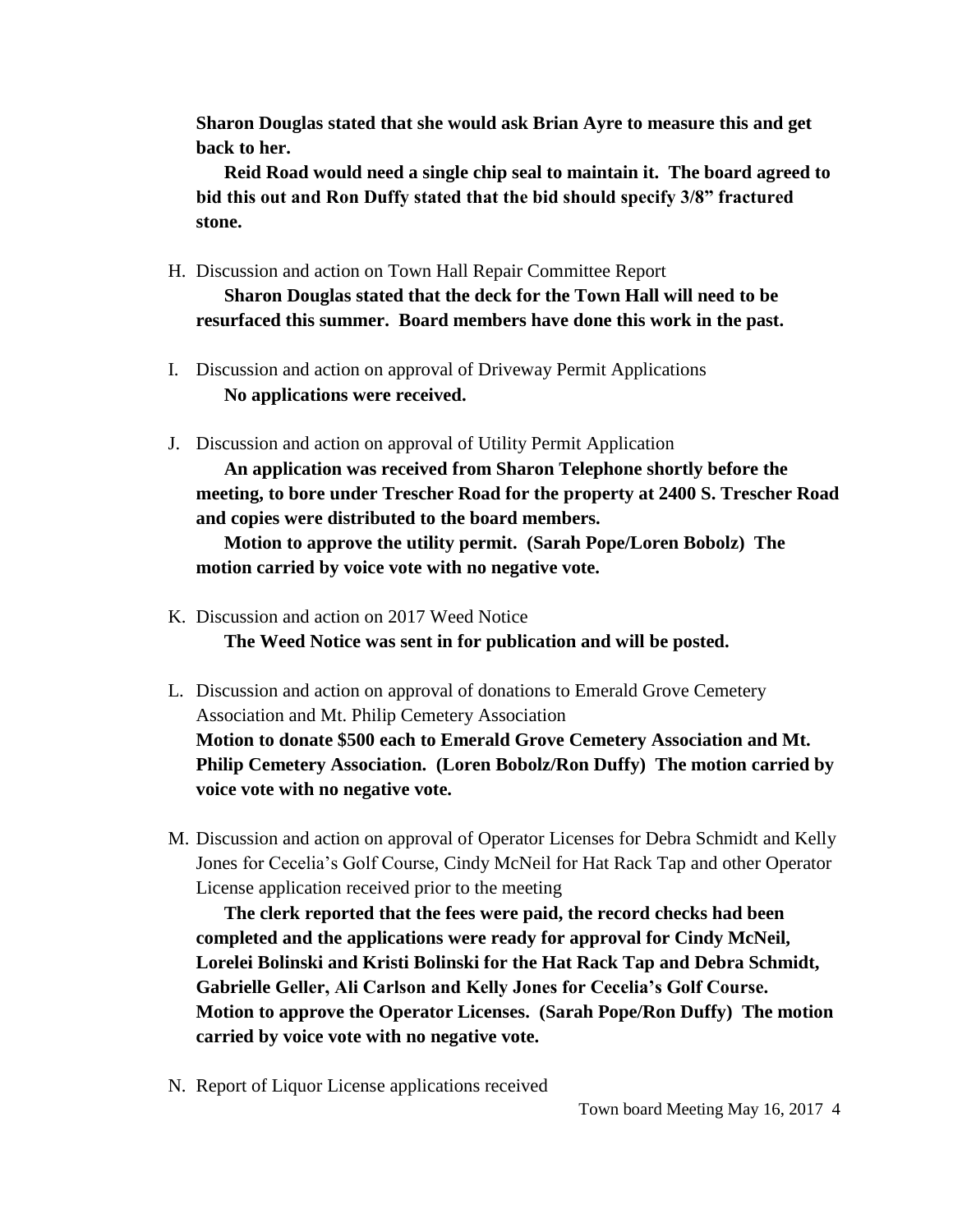**Sharon Douglas stated that she would ask Brian Ayre to measure this and get back to her.** 

**Reid Road would need a single chip seal to maintain it. The board agreed to bid this out and Ron Duffy stated that the bid should specify 3/8" fractured stone.**

H. Discussion and action on Town Hall Repair Committee Report

**Sharon Douglas stated that the deck for the Town Hall will need to be resurfaced this summer. Board members have done this work in the past.**

- I. Discussion and action on approval of Driveway Permit Applications **No applications were received.**
- J. Discussion and action on approval of Utility Permit Application

**An application was received from Sharon Telephone shortly before the meeting, to bore under Trescher Road for the property at 2400 S. Trescher Road and copies were distributed to the board members.** 

**Motion to approve the utility permit. (Sarah Pope/Loren Bobolz) The motion carried by voice vote with no negative vote.**

- K. Discussion and action on 2017 Weed Notice **The Weed Notice was sent in for publication and will be posted.**
- L. Discussion and action on approval of donations to Emerald Grove Cemetery Association and Mt. Philip Cemetery Association **Motion to donate \$500 each to Emerald Grove Cemetery Association and Mt. Philip Cemetery Association. (Loren Bobolz/Ron Duffy) The motion carried by voice vote with no negative vote.**
- M. Discussion and action on approval of Operator Licenses for Debra Schmidt and Kelly Jones for Cecelia's Golf Course, Cindy McNeil for Hat Rack Tap and other Operator License application received prior to the meeting

**The clerk reported that the fees were paid, the record checks had been completed and the applications were ready for approval for Cindy McNeil, Lorelei Bolinski and Kristi Bolinski for the Hat Rack Tap and Debra Schmidt, Gabrielle Geller, Ali Carlson and Kelly Jones for Cecelia's Golf Course. Motion to approve the Operator Licenses. (Sarah Pope/Ron Duffy) The motion carried by voice vote with no negative vote.**

N. Report of Liquor License applications received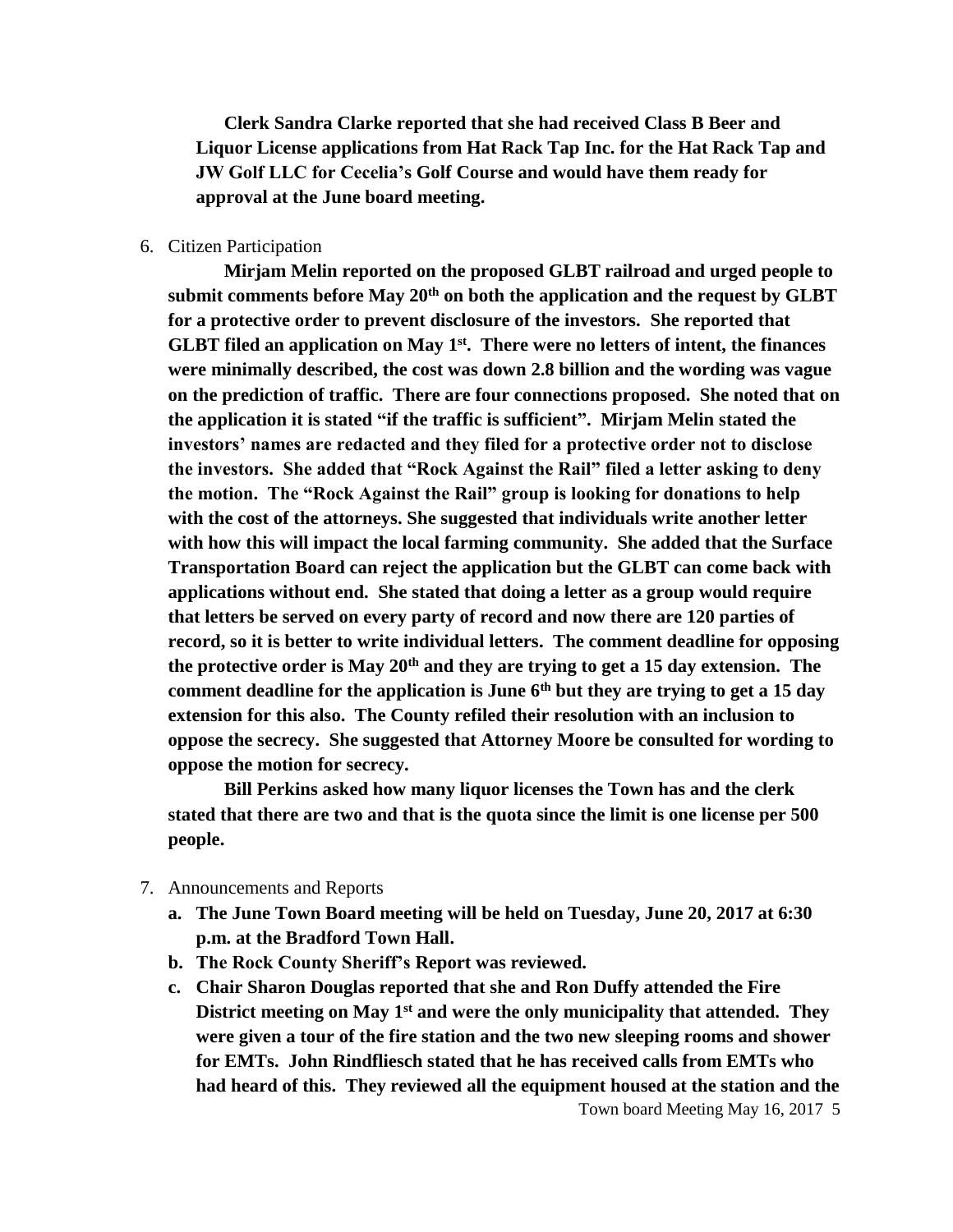**Clerk Sandra Clarke reported that she had received Class B Beer and Liquor License applications from Hat Rack Tap Inc. for the Hat Rack Tap and JW Golf LLC for Cecelia's Golf Course and would have them ready for approval at the June board meeting.**

## 6. Citizen Participation

**Mirjam Melin reported on the proposed GLBT railroad and urged people to submit comments before May 20th on both the application and the request by GLBT for a protective order to prevent disclosure of the investors. She reported that GLBT filed an application on May 1st. There were no letters of intent, the finances were minimally described, the cost was down 2.8 billion and the wording was vague on the prediction of traffic. There are four connections proposed. She noted that on the application it is stated "if the traffic is sufficient". Mirjam Melin stated the investors' names are redacted and they filed for a protective order not to disclose the investors. She added that "Rock Against the Rail" filed a letter asking to deny the motion. The "Rock Against the Rail" group is looking for donations to help with the cost of the attorneys. She suggested that individuals write another letter with how this will impact the local farming community. She added that the Surface Transportation Board can reject the application but the GLBT can come back with applications without end. She stated that doing a letter as a group would require that letters be served on every party of record and now there are 120 parties of record, so it is better to write individual letters. The comment deadline for opposing the protective order is May 20th and they are trying to get a 15 day extension. The comment deadline for the application is June 6th but they are trying to get a 15 day extension for this also. The County refiled their resolution with an inclusion to oppose the secrecy. She suggested that Attorney Moore be consulted for wording to oppose the motion for secrecy.** 

**Bill Perkins asked how many liquor licenses the Town has and the clerk stated that there are two and that is the quota since the limit is one license per 500 people.**

- 7. Announcements and Reports
	- **a. The June Town Board meeting will be held on Tuesday, June 20, 2017 at 6:30 p.m. at the Bradford Town Hall.**
	- **b. The Rock County Sheriff's Report was reviewed.**
	- **c. Chair Sharon Douglas reported that she and Ron Duffy attended the Fire District meeting on May 1st and were the only municipality that attended. They were given a tour of the fire station and the two new sleeping rooms and shower for EMTs. John Rindfliesch stated that he has received calls from EMTs who had heard of this. They reviewed all the equipment housed at the station and the**

Town board Meeting May 16, 2017 5